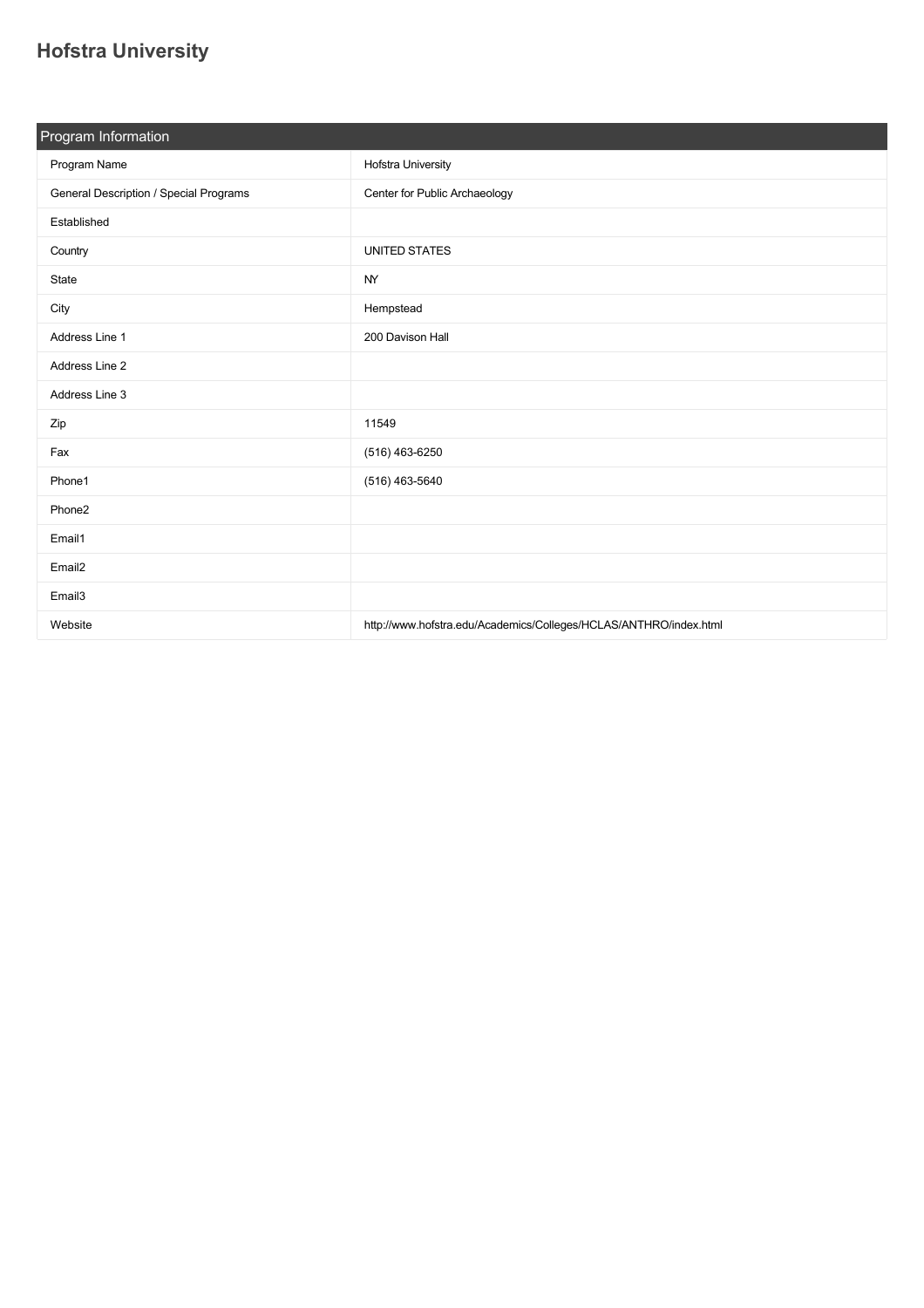## **[Hofstra University](https://guide.americananthro.org/707/Hofstra-University)**

| Program Information                    |                                                                   |  |  |  |  |
|----------------------------------------|-------------------------------------------------------------------|--|--|--|--|
| Program Name                           | Hofstra University                                                |  |  |  |  |
| General Description / Special Programs | Center for Public Archaeology                                     |  |  |  |  |
| Established                            |                                                                   |  |  |  |  |
| Country                                | <b>UNITED STATES</b>                                              |  |  |  |  |
| State                                  | NY.                                                               |  |  |  |  |
| City                                   | Hempstead                                                         |  |  |  |  |
| Address Line 1                         | 200 Davison Hall                                                  |  |  |  |  |
| Address Line 2                         |                                                                   |  |  |  |  |
| Address Line 3                         |                                                                   |  |  |  |  |
| Zip                                    | 11549                                                             |  |  |  |  |
| Fax                                    | (516) 463-6250                                                    |  |  |  |  |
| Phone1                                 | $(516)$ 463-5640                                                  |  |  |  |  |
| Phone2                                 |                                                                   |  |  |  |  |
| Email1                                 |                                                                   |  |  |  |  |
| Email <sub>2</sub>                     |                                                                   |  |  |  |  |
| Email <sub>3</sub>                     |                                                                   |  |  |  |  |
| Website                                | http://www.hofstra.edu/Academics/Colleges/HCLAS/ANTHRO/index.html |  |  |  |  |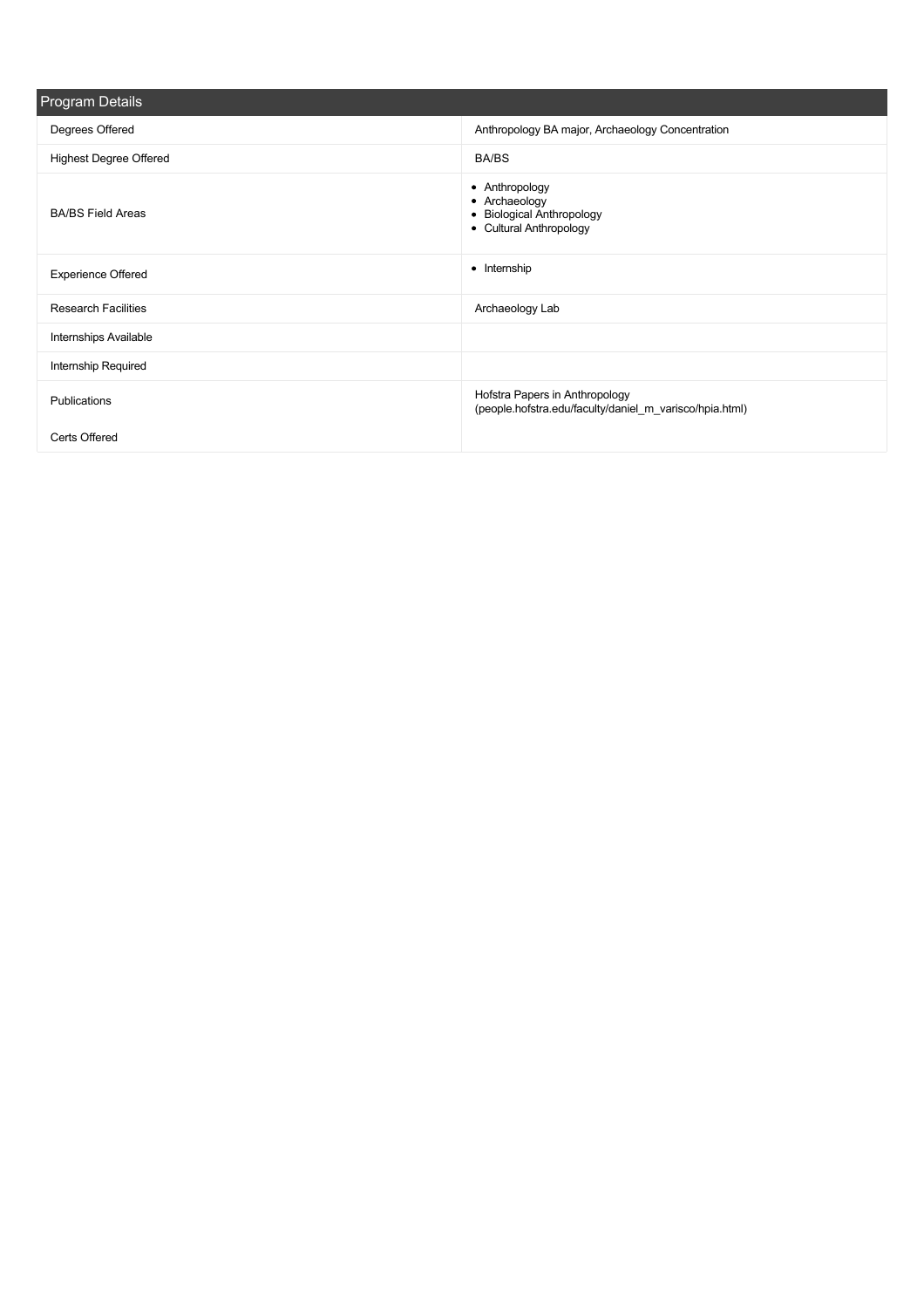| <b>Program Details</b>        |                                                                                           |
|-------------------------------|-------------------------------------------------------------------------------------------|
| Degrees Offered               | Anthropology BA major, Archaeology Concentration                                          |
| <b>Highest Degree Offered</b> | <b>BA/BS</b>                                                                              |
| <b>BA/BS Field Areas</b>      | • Anthropology<br>• Archaeology<br>• Biological Anthropology<br>• Cultural Anthropology   |
| <b>Experience Offered</b>     | • Internship                                                                              |
| <b>Research Facilities</b>    | Archaeology Lab                                                                           |
| Internships Available         |                                                                                           |
| Internship Required           |                                                                                           |
| Publications                  | Hofstra Papers in Anthropology<br>(people.hofstra.edu/faculty/daniel m varisco/hpia.html) |
| Certs Offered                 |                                                                                           |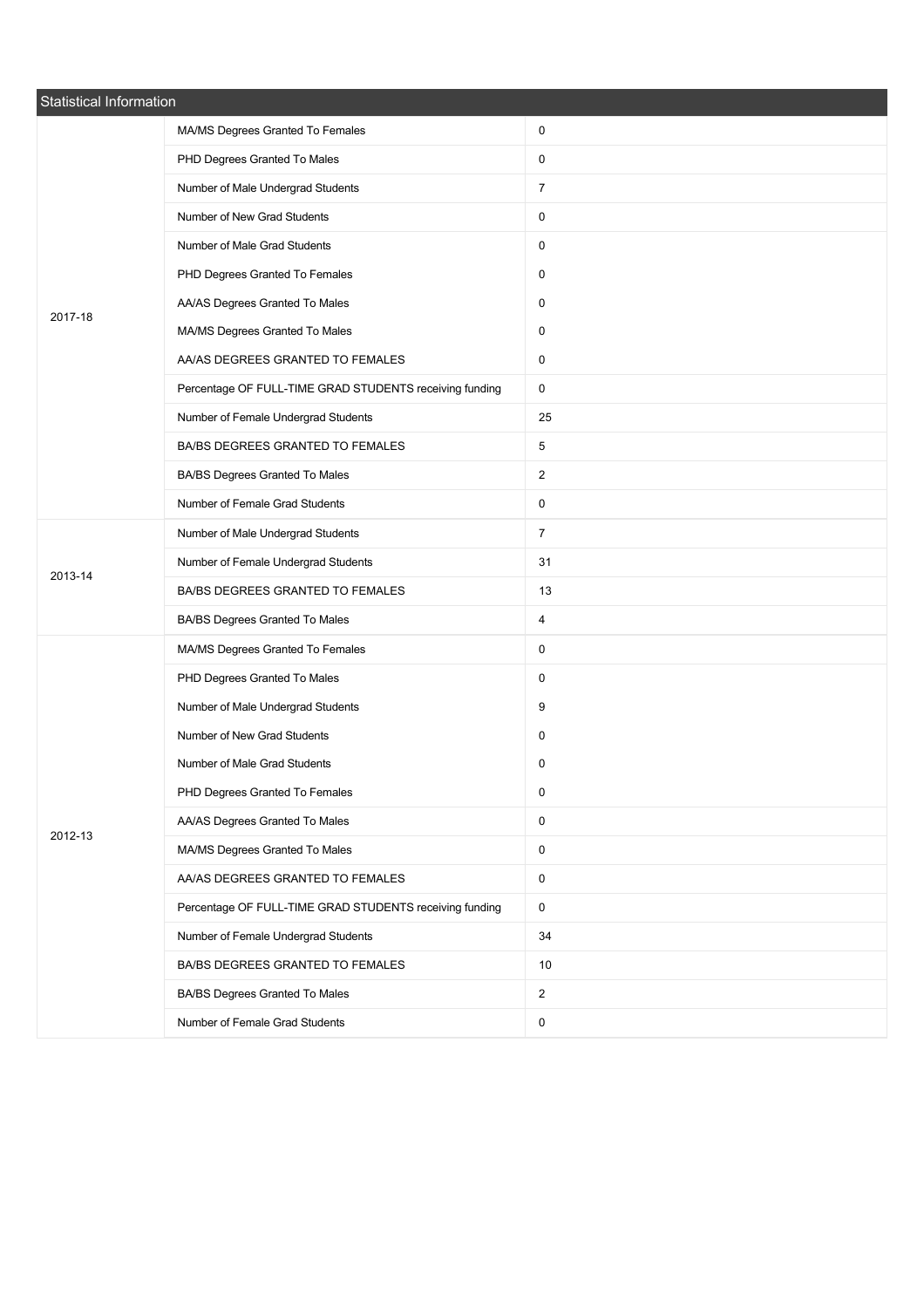| Statistical Information |                                                         |                |
|-------------------------|---------------------------------------------------------|----------------|
|                         | MA/MS Degrees Granted To Females                        | 0              |
|                         | PHD Degrees Granted To Males                            | 0              |
|                         | Number of Male Undergrad Students                       | $\overline{7}$ |
|                         | Number of New Grad Students                             | 0              |
|                         | Number of Male Grad Students                            | 0              |
|                         | PHD Degrees Granted To Females                          | 0              |
| 2017-18                 | AA/AS Degrees Granted To Males                          | 0              |
|                         | MA/MS Degrees Granted To Males                          | 0              |
|                         | AA/AS DEGREES GRANTED TO FEMALES                        | 0              |
|                         | Percentage OF FULL-TIME GRAD STUDENTS receiving funding | 0              |
|                         | Number of Female Undergrad Students                     | 25             |
|                         | BA/BS DEGREES GRANTED TO FEMALES                        | 5              |
|                         | BA/BS Degrees Granted To Males                          | $\overline{2}$ |
|                         | Number of Female Grad Students                          | 0              |
|                         | Number of Male Undergrad Students                       | $\overline{7}$ |
| 2013-14                 | Number of Female Undergrad Students                     | 31             |
|                         | BA/BS DEGREES GRANTED TO FEMALES                        | 13             |
|                         | BA/BS Degrees Granted To Males                          | 4              |
|                         | MA/MS Degrees Granted To Females                        | 0              |
|                         | PHD Degrees Granted To Males                            | 0              |
|                         | Number of Male Undergrad Students                       | 9              |
|                         | Number of New Grad Students                             | 0              |
| 2012-13                 | Number of Male Grad Students                            | 0              |
|                         | PHD Degrees Granted To Females                          | 0              |
|                         | AA/AS Degrees Granted To Males                          | 0              |
|                         | MA/MS Degrees Granted To Males                          | 0              |
|                         | AA/AS DEGREES GRANTED TO FEMALES                        | $\mathsf{O}$   |
|                         | Percentage OF FULL-TIME GRAD STUDENTS receiving funding | $\mathsf{O}$   |
|                         | Number of Female Undergrad Students                     | 34             |
|                         | BA/BS DEGREES GRANTED TO FEMALES                        | 10             |
|                         | BA/BS Degrees Granted To Males                          | $\overline{2}$ |
|                         | Number of Female Grad Students                          | 0              |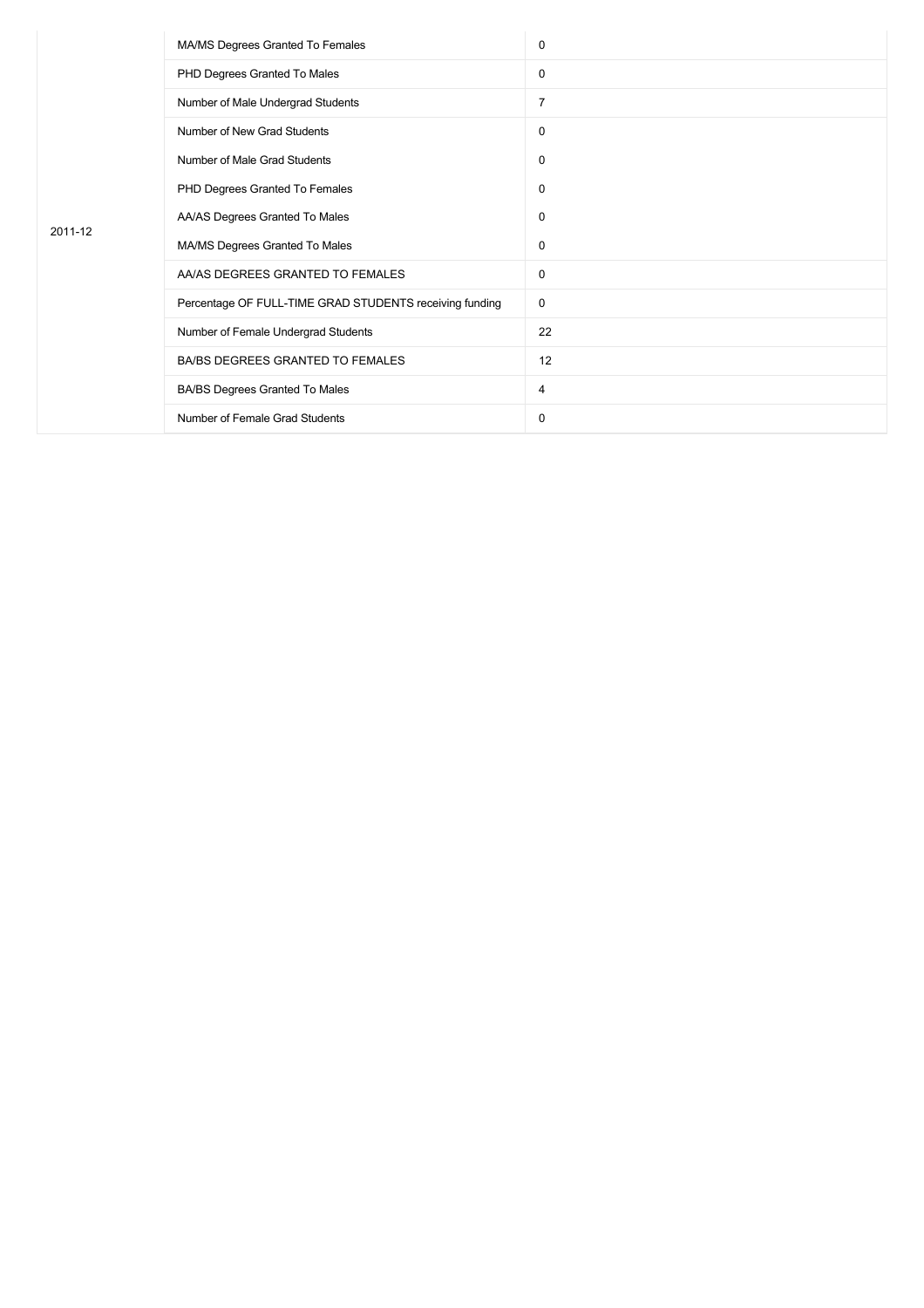| 2011-12 | MA/MS Degrees Granted To Females                        | 0  |
|---------|---------------------------------------------------------|----|
|         | PHD Degrees Granted To Males                            | 0  |
|         | Number of Male Undergrad Students                       | 7  |
|         | Number of New Grad Students                             | 0  |
|         | Number of Male Grad Students                            | 0  |
|         | PHD Degrees Granted To Females                          | 0  |
|         | AA/AS Degrees Granted To Males                          | 0  |
|         | MA/MS Degrees Granted To Males                          | 0  |
|         | AA/AS DEGREES GRANTED TO FEMALES                        | 0  |
|         | Percentage OF FULL-TIME GRAD STUDENTS receiving funding | 0  |
|         | Number of Female Undergrad Students                     | 22 |
|         | BA/BS DEGREES GRANTED TO FEMALES                        | 12 |
|         | BA/BS Degrees Granted To Males                          | 4  |
|         | Number of Female Grad Students                          | 0  |